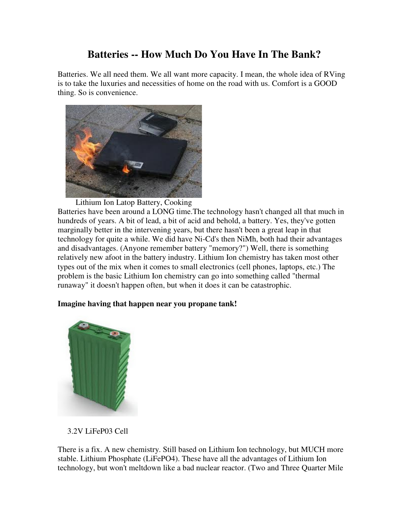## **Batteries -- How Much Do You Have In The Bank?**

Batteries. We all need them. We all want more capacity. I mean, the whole idea of RVing is to take the luxuries and necessities of home on the road with us. Comfort is a GOOD thing. So is convenience.



Lithium Ion Latop Battery, Cooking

Batteries have been around a LONG time.The technology hasn't changed all that much in hundreds of years. A bit of lead, a bit of acid and behold, a battery. Yes, they've gotten marginally better in the intervening years, but there hasn't been a great leap in that technology for quite a while. We did have Ni-Cd's then NiMh, both had their advantages and disadvantages. (Anyone remember battery "memory?") Well, there is something relatively new afoot in the battery industry. Lithium Ion chemistry has taken most other types out of the mix when it comes to small electronics (cell phones, laptops, etc.) The problem is the basic Lithium Ion chemistry can go into something called "thermal runaway" it doesn't happen often, but when it does it can be catastrophic.

## **Imagine having that happen near you propane tank!**



3.2V LiFeP03 Cell

There is a fix. A new chemistry. Still based on Lithium Ion technology, but MUCH more stable. Lithium Phosphate (LiFePO4). These have all the advantages of Lithium Ion technology, but won't meltdown like a bad nuclear reactor. (Two and Three Quarter Mile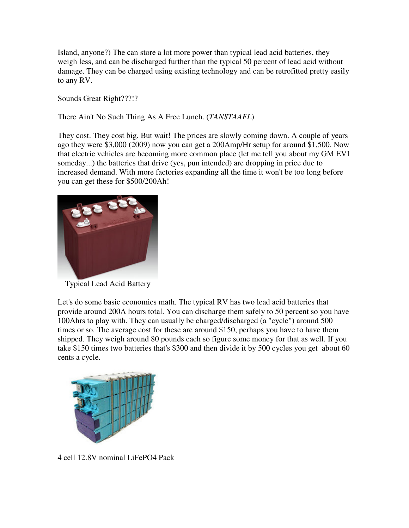Island, anyone?) The can store a lot more power than typical lead acid batteries, they weigh less, and can be discharged further than the typical 50 percent of lead acid without damage. They can be charged using existing technology and can be retrofitted pretty easily to any RV.

Sounds Great Right???!?

There Ain't No Such Thing As A Free Lunch. (*TANSTAAFL*)

They cost. They cost big. But wait! The prices are slowly coming down. A couple of years ago they were \$3,000 (2009) now you can get a 200Amp/Hr setup for around \$1,500. Now that electric vehicles are becoming more common place (let me tell you about my GM EV1 someday...) the batteries that drive (yes, pun intended) are dropping in price due to increased demand. With more factories expanding all the time it won't be too long before you can get these for \$500/200Ah!



Typical Lead Acid Battery

Let's do some basic economics math. The typical RV has two lead acid batteries that provide around 200A hours total. You can discharge them safely to 50 percent so you have 100Ahrs to play with. They can usually be charged/discharged (a "cycle") around 500 times or so. The average cost for these are around \$150, perhaps you have to have them shipped. They weigh around 80 pounds each so figure some money for that as well. If you take \$150 times two batteries that's \$300 and then divide it by 500 cycles you get about 60 cents a cycle.



4 cell 12.8V nominal LiFePO4 Pack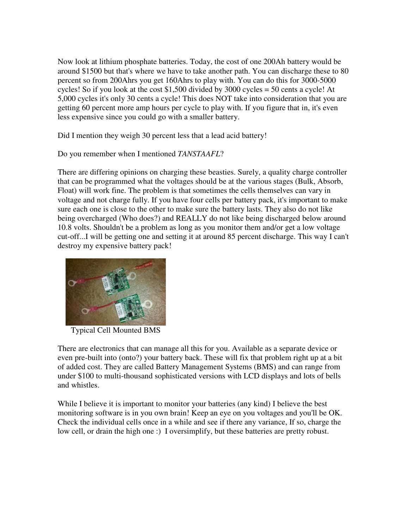Now look at lithium phosphate batteries. Today, the cost of one 200Ah battery would be around \$1500 but that's where we have to take another path. You can discharge these to 80 percent so from 200Ahrs you get 160Ahrs to play with. You can do this for 3000-5000 cycles! So if you look at the cost \$1,500 divided by 3000 cycles = 50 cents a cycle! At 5,000 cycles it's only 30 cents a cycle! This does NOT take into consideration that you are getting 60 percent more amp hours per cycle to play with. If you figure that in, it's even less expensive since you could go with a smaller battery.

Did I mention they weigh 30 percent less that a lead acid battery!

Do you remember when I mentioned *TANSTAAFL*?

There are differing opinions on charging these beasties. Surely, a quality charge controller that can be programmed what the voltages should be at the various stages (Bulk, Absorb, Float) will work fine. The problem is that sometimes the cells themselves can vary in voltage and not charge fully. If you have four cells per battery pack, it's important to make sure each one is close to the other to make sure the battery lasts. They also do not like being overcharged (Who does?) and REALLY do not like being discharged below around 10.8 volts. Shouldn't be a problem as long as you monitor them and/or get a low voltage cut-off...I will be getting one and setting it at around 85 percent discharge. This way I can't destroy my expensive battery pack!



Typical Cell Mounted BMS

There are electronics that can manage all this for you. Available as a separate device or even pre-built into (onto?) your battery back. These will fix that problem right up at a bit of added cost. They are called Battery Management Systems (BMS) and can range from under \$100 to multi-thousand sophisticated versions with LCD displays and lots of bells and whistles.

While I believe it is important to monitor your batteries (any kind) I believe the best monitoring software is in you own brain! Keep an eye on you voltages and you'll be OK. Check the individual cells once in a while and see if there any variance, If so, charge the low cell, or drain the high one :) I oversimplify, but these batteries are pretty robust.